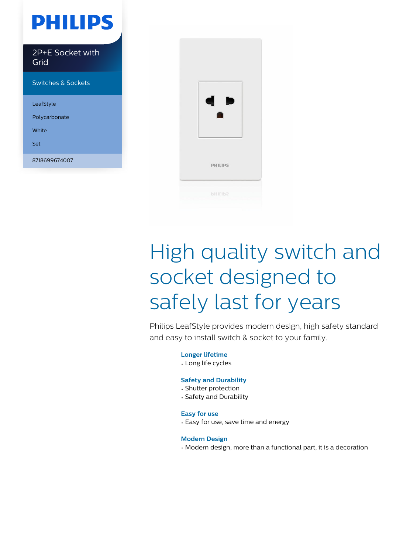# **PHILIPS**

2P+E Socket with Grid

Switches & Sockets

LeafStyle

Polycarbonate

White

Set

8718699674007



# High quality switch and socket designed to safely last for years

Philips LeafStyle provides modern design, high safety standard and easy to install switch & socket to your family.

**Longer lifetime**

• Long life cycles

#### **Safety and Durability**

- Shutter protection
- Safety and Durability

#### **Easy for use**

• Easy for use, save time and energy

#### **Modern Design**

• Modern design, more than a functional part, it is a decoration